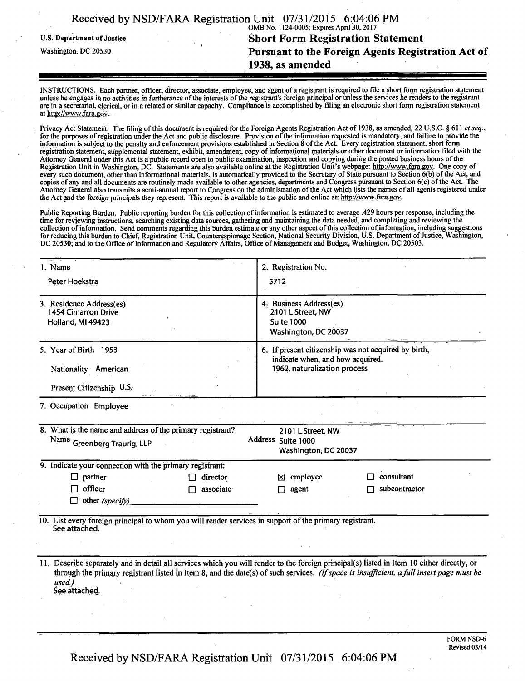|                                   | Received by NSD/FARA Registration Unit 07/31/2015 6:04:06 PM |
|-----------------------------------|--------------------------------------------------------------|
|                                   | OMB No. 1124-0005; Expires April 30, 2017                    |
| <b>U.S. Department of Justice</b> | <b>Short Form Registration Statement</b>                     |
| Washington, DC 20530              | Pursuant to the Foreign Agents Registration Act of           |
|                                   | 1938, as amended                                             |
|                                   |                                                              |
|                                   |                                                              |

INSTRUCTIONS. Each partner, officer, director, associate, employee, and agent of a registrant is required to file a short form registration statement unless he engages in no activities in furtherance of the interests of the registrant's foreign principal or unless the services he renders to the registrant are in a secretarial, clerical, or in a related or similar capacity. Compliance is accomplished by filing an electronic short form registration statement at http://www.fara.gov.

Privacy Act Statement. The filing of this document is required for the Foreign Agents Registration Act of 1938, as amended, 22 U.S.C. § 611 et seq., for the purposes of registration under the Act and public disclosure. Provision of the information requested is mandatory, and failure to provide the information is subject to the penalty and enforcement provisions established in Section 8 of the Act. Every registration statement, short form registration statement, supplemental statement, exhibit, amendment, copy of informational materials or other document or information filed with the Attorney General under this Act is a public record open to public examination, inspection and copying during the posted business hours of the Registration Unit in Washington, DC. Statements are also available online at the Registration Unit's webpage: http://www.fara.gov. One copy of every such document, other than informational materials, is automatically provided to the Secretary of State pursuant to Section 6(b) of the Act, and copies of any and all documents are routinely made available to other agencies, departments and Congress pursuant to Section 6(c) ofthe Act. The Attorney General also transmits a semi-annual report to Congress on the administration of the Act which lists the names of all agents registered under the Act and the foreign principals they represent. This report is available to the public and online at: http://www.fara.gov.

Public Reporting Burden. Public reporting burden for this collection of information is estimated to average .429 hours per response, including the time for reviewing instructions, searching existing data sources, gathering and maintaining the data needed, and completing and reviewing the collection of information. Send comments regarding this burden estimate or any other aspect of this collection of information, including suggestions for reducing this burden to Chief, Registration Unit, Counterespionage Section, National Security Division, U.S. Department of Justice, Washington, DC 20530; and to the Office of Information and Regulatory Affairs, Office of Management and Budget, Washington, DC 20503.

| 1. Name                                                                                                                  | 2. Registration No.                                                                                                                                                                                                                                                                    |
|--------------------------------------------------------------------------------------------------------------------------|----------------------------------------------------------------------------------------------------------------------------------------------------------------------------------------------------------------------------------------------------------------------------------------|
| Peter Hoekstra                                                                                                           | 5712                                                                                                                                                                                                                                                                                   |
| 3. Residence Address(es)<br><b>1454 Cimarron Drive</b><br>Holland, MI 49423                                              | 4. Business Address(es)<br>2101 L Street, NW<br><b>Suite 1000</b><br>Washington, DC 20037                                                                                                                                                                                              |
| 5. Year of Birth 1953                                                                                                    | 6. If present citizenship was not acquired by birth,                                                                                                                                                                                                                                   |
| Nationality American                                                                                                     | indicate when, and how acquired.<br>1962, naturalization process                                                                                                                                                                                                                       |
| Present Citizenship U.S.                                                                                                 |                                                                                                                                                                                                                                                                                        |
| 7. Occupation Employee                                                                                                   |                                                                                                                                                                                                                                                                                        |
| 8. What is the name and address of the primary registrant?<br>Name Greenberg Traurig, LLP                                | 2101 L Street, NW<br>Address Suite 1000<br>Washington, DC 20037                                                                                                                                                                                                                        |
| 9. Indicate your connection with the primary registrant:                                                                 |                                                                                                                                                                                                                                                                                        |
| $\Box$ partner<br>director                                                                                               | employee<br>consultant<br>⋈                                                                                                                                                                                                                                                            |
| officer<br>associate                                                                                                     | subcontractor<br>agent                                                                                                                                                                                                                                                                 |
| other (specify)                                                                                                          |                                                                                                                                                                                                                                                                                        |
| 10. List every foreign principal to whom you will render services in support of the primary registrant.<br>See attached. |                                                                                                                                                                                                                                                                                        |
| used.)<br>See attached.                                                                                                  | 11. Describe separately and in detail all services which you will render to the foreign principal(s) listed in Item 10 either directly, or<br>through the primary registrant listed in Item 8, and the date(s) of such services. (If space is insufficient, a full insert page must be |
|                                                                                                                          |                                                                                                                                                                                                                                                                                        |

Received by NSD/FARA Registration Unit 07/31/2015 6:04:06 PM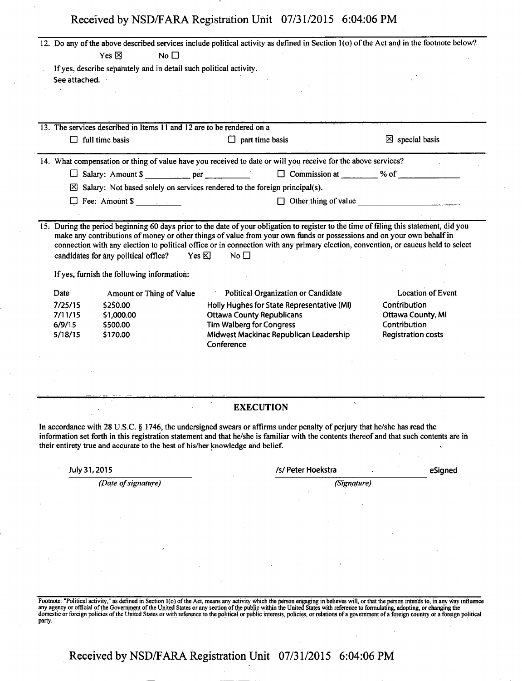| Received by NSD/FARA Registration Unit 07/31/2015 6:04:06 PM |  |
|--------------------------------------------------------------|--|
|--------------------------------------------------------------|--|

| See attached.<br>$\Box$ full time basis<br>Date<br>7/25/15<br>7/11/15<br>6/9/15<br>5/18/15 | Yes $\boxtimes$<br>$\blacksquare$ No $\square$<br>If yes, describe separately and in detail such political activity.<br>13. The services described in Items 11 and 12 are to be rendered on a<br>$\Box$ Fee: Amount \$<br>candidates for any political office?<br>Yes &<br>If yes, furnish the following information:<br>Amount or Thing of Value<br>\$250.00<br>\$1,000.00<br>\$500.00<br>\$170.00 | $\Box$ part time basis<br>14. What compensation or thing of value have you received to date or will you receive for the above services?<br>$\boxtimes$ Salary: Not based solely on services rendered to the foreign principal(s).<br>$\Box$ Other thing of value<br>15. During the period beginning 60 days prior to the date of your obligation to register to the time of filing this statement, did you<br>make any contributions of money or other things of value from your own funds or possessions and on your own behalf in<br>connection with any election to political office or in connection with any primary election, convention, or caucus held to select<br>No $\square$<br>Political Organization or Candidate<br>Holly Hughes for State Representative (MI)<br><b>Ottawa County Republicans</b><br><b>Tim Walberg for Congress</b><br>Midwest Mackinac Republican Leadership | $\boxtimes$ special basis<br><b>Location of Event</b><br><b>Contribution</b><br>Ottawa County, MI<br>Contribution<br><b>Registration costs</b> |
|--------------------------------------------------------------------------------------------|-----------------------------------------------------------------------------------------------------------------------------------------------------------------------------------------------------------------------------------------------------------------------------------------------------------------------------------------------------------------------------------------------------|------------------------------------------------------------------------------------------------------------------------------------------------------------------------------------------------------------------------------------------------------------------------------------------------------------------------------------------------------------------------------------------------------------------------------------------------------------------------------------------------------------------------------------------------------------------------------------------------------------------------------------------------------------------------------------------------------------------------------------------------------------------------------------------------------------------------------------------------------------------------------------------------|------------------------------------------------------------------------------------------------------------------------------------------------|
|                                                                                            |                                                                                                                                                                                                                                                                                                                                                                                                     |                                                                                                                                                                                                                                                                                                                                                                                                                                                                                                                                                                                                                                                                                                                                                                                                                                                                                                |                                                                                                                                                |
|                                                                                            |                                                                                                                                                                                                                                                                                                                                                                                                     |                                                                                                                                                                                                                                                                                                                                                                                                                                                                                                                                                                                                                                                                                                                                                                                                                                                                                                |                                                                                                                                                |
|                                                                                            |                                                                                                                                                                                                                                                                                                                                                                                                     |                                                                                                                                                                                                                                                                                                                                                                                                                                                                                                                                                                                                                                                                                                                                                                                                                                                                                                |                                                                                                                                                |
|                                                                                            |                                                                                                                                                                                                                                                                                                                                                                                                     |                                                                                                                                                                                                                                                                                                                                                                                                                                                                                                                                                                                                                                                                                                                                                                                                                                                                                                |                                                                                                                                                |
|                                                                                            |                                                                                                                                                                                                                                                                                                                                                                                                     |                                                                                                                                                                                                                                                                                                                                                                                                                                                                                                                                                                                                                                                                                                                                                                                                                                                                                                |                                                                                                                                                |
|                                                                                            |                                                                                                                                                                                                                                                                                                                                                                                                     |                                                                                                                                                                                                                                                                                                                                                                                                                                                                                                                                                                                                                                                                                                                                                                                                                                                                                                |                                                                                                                                                |
|                                                                                            |                                                                                                                                                                                                                                                                                                                                                                                                     |                                                                                                                                                                                                                                                                                                                                                                                                                                                                                                                                                                                                                                                                                                                                                                                                                                                                                                |                                                                                                                                                |
|                                                                                            |                                                                                                                                                                                                                                                                                                                                                                                                     |                                                                                                                                                                                                                                                                                                                                                                                                                                                                                                                                                                                                                                                                                                                                                                                                                                                                                                |                                                                                                                                                |
|                                                                                            |                                                                                                                                                                                                                                                                                                                                                                                                     |                                                                                                                                                                                                                                                                                                                                                                                                                                                                                                                                                                                                                                                                                                                                                                                                                                                                                                |                                                                                                                                                |
|                                                                                            |                                                                                                                                                                                                                                                                                                                                                                                                     |                                                                                                                                                                                                                                                                                                                                                                                                                                                                                                                                                                                                                                                                                                                                                                                                                                                                                                |                                                                                                                                                |
|                                                                                            |                                                                                                                                                                                                                                                                                                                                                                                                     |                                                                                                                                                                                                                                                                                                                                                                                                                                                                                                                                                                                                                                                                                                                                                                                                                                                                                                |                                                                                                                                                |
|                                                                                            |                                                                                                                                                                                                                                                                                                                                                                                                     |                                                                                                                                                                                                                                                                                                                                                                                                                                                                                                                                                                                                                                                                                                                                                                                                                                                                                                |                                                                                                                                                |
|                                                                                            |                                                                                                                                                                                                                                                                                                                                                                                                     |                                                                                                                                                                                                                                                                                                                                                                                                                                                                                                                                                                                                                                                                                                                                                                                                                                                                                                |                                                                                                                                                |
|                                                                                            |                                                                                                                                                                                                                                                                                                                                                                                                     |                                                                                                                                                                                                                                                                                                                                                                                                                                                                                                                                                                                                                                                                                                                                                                                                                                                                                                |                                                                                                                                                |
|                                                                                            |                                                                                                                                                                                                                                                                                                                                                                                                     |                                                                                                                                                                                                                                                                                                                                                                                                                                                                                                                                                                                                                                                                                                                                                                                                                                                                                                |                                                                                                                                                |
|                                                                                            |                                                                                                                                                                                                                                                                                                                                                                                                     |                                                                                                                                                                                                                                                                                                                                                                                                                                                                                                                                                                                                                                                                                                                                                                                                                                                                                                |                                                                                                                                                |
|                                                                                            |                                                                                                                                                                                                                                                                                                                                                                                                     |                                                                                                                                                                                                                                                                                                                                                                                                                                                                                                                                                                                                                                                                                                                                                                                                                                                                                                |                                                                                                                                                |
|                                                                                            |                                                                                                                                                                                                                                                                                                                                                                                                     | Conference                                                                                                                                                                                                                                                                                                                                                                                                                                                                                                                                                                                                                                                                                                                                                                                                                                                                                     |                                                                                                                                                |
|                                                                                            |                                                                                                                                                                                                                                                                                                                                                                                                     |                                                                                                                                                                                                                                                                                                                                                                                                                                                                                                                                                                                                                                                                                                                                                                                                                                                                                                |                                                                                                                                                |
|                                                                                            |                                                                                                                                                                                                                                                                                                                                                                                                     |                                                                                                                                                                                                                                                                                                                                                                                                                                                                                                                                                                                                                                                                                                                                                                                                                                                                                                |                                                                                                                                                |
|                                                                                            |                                                                                                                                                                                                                                                                                                                                                                                                     |                                                                                                                                                                                                                                                                                                                                                                                                                                                                                                                                                                                                                                                                                                                                                                                                                                                                                                |                                                                                                                                                |
|                                                                                            |                                                                                                                                                                                                                                                                                                                                                                                                     |                                                                                                                                                                                                                                                                                                                                                                                                                                                                                                                                                                                                                                                                                                                                                                                                                                                                                                |                                                                                                                                                |
|                                                                                            |                                                                                                                                                                                                                                                                                                                                                                                                     | <b>EXECUTION</b>                                                                                                                                                                                                                                                                                                                                                                                                                                                                                                                                                                                                                                                                                                                                                                                                                                                                               |                                                                                                                                                |
|                                                                                            |                                                                                                                                                                                                                                                                                                                                                                                                     | In accordance with 28 U.S.C. § 1746, the undersigned swears or affirms under penalty of perjury that he/she has read the<br>information set forth in this registration statement and that he/she is familiar with the contents thereof and that such contents are in<br>their entirety true and accurate to the best of his/her knowledge and belief.                                                                                                                                                                                                                                                                                                                                                                                                                                                                                                                                          |                                                                                                                                                |
| July 31, 2015                                                                              |                                                                                                                                                                                                                                                                                                                                                                                                     | /s/ Peter Hoekstra                                                                                                                                                                                                                                                                                                                                                                                                                                                                                                                                                                                                                                                                                                                                                                                                                                                                             | eSigned                                                                                                                                        |
|                                                                                            | (Date of signature)                                                                                                                                                                                                                                                                                                                                                                                 | (Signature)                                                                                                                                                                                                                                                                                                                                                                                                                                                                                                                                                                                                                                                                                                                                                                                                                                                                                    |                                                                                                                                                |
|                                                                                            |                                                                                                                                                                                                                                                                                                                                                                                                     |                                                                                                                                                                                                                                                                                                                                                                                                                                                                                                                                                                                                                                                                                                                                                                                                                                                                                                |                                                                                                                                                |
|                                                                                            |                                                                                                                                                                                                                                                                                                                                                                                                     |                                                                                                                                                                                                                                                                                                                                                                                                                                                                                                                                                                                                                                                                                                                                                                                                                                                                                                |                                                                                                                                                |
|                                                                                            |                                                                                                                                                                                                                                                                                                                                                                                                     |                                                                                                                                                                                                                                                                                                                                                                                                                                                                                                                                                                                                                                                                                                                                                                                                                                                                                                |                                                                                                                                                |
|                                                                                            |                                                                                                                                                                                                                                                                                                                                                                                                     |                                                                                                                                                                                                                                                                                                                                                                                                                                                                                                                                                                                                                                                                                                                                                                                                                                                                                                |                                                                                                                                                |
|                                                                                            |                                                                                                                                                                                                                                                                                                                                                                                                     |                                                                                                                                                                                                                                                                                                                                                                                                                                                                                                                                                                                                                                                                                                                                                                                                                                                                                                |                                                                                                                                                |
|                                                                                            |                                                                                                                                                                                                                                                                                                                                                                                                     |                                                                                                                                                                                                                                                                                                                                                                                                                                                                                                                                                                                                                                                                                                                                                                                                                                                                                                |                                                                                                                                                |
|                                                                                            |                                                                                                                                                                                                                                                                                                                                                                                                     |                                                                                                                                                                                                                                                                                                                                                                                                                                                                                                                                                                                                                                                                                                                                                                                                                                                                                                |                                                                                                                                                |
|                                                                                            |                                                                                                                                                                                                                                                                                                                                                                                                     |                                                                                                                                                                                                                                                                                                                                                                                                                                                                                                                                                                                                                                                                                                                                                                                                                                                                                                |                                                                                                                                                |

Footnote: "Political activity," as defined in Section 1(o) of the Act, means any activity which the person engaging in believes will, or that the person intends to, in any way influence<br>any agency or official of the Govern

**Received by NSD/FARA Registration Unit 07/31/2015 6:04:06 PM**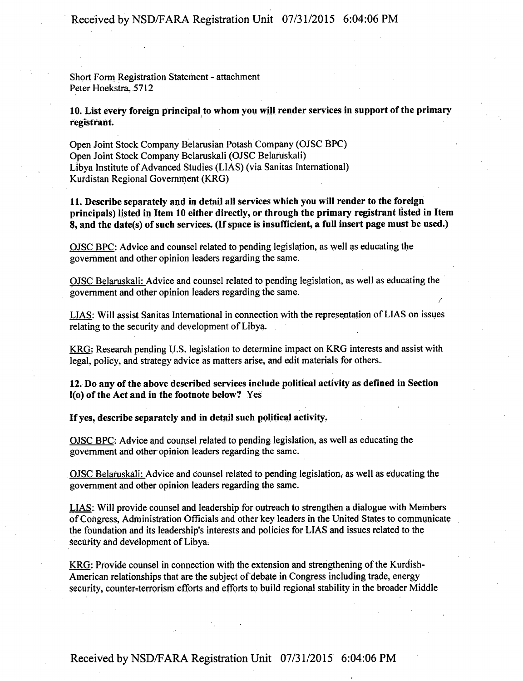**Received by NSD/FARA Registration Unit 07/31/2015 6:04:06 PM** 

**Short Form Registration Statement - attachment Peter Hoekstra, 5712** 

**10. List every foreign principal to whom you will render services in support ofthe primary registrant.** 

**Open Joint Stock Company Belarusian Potash Company (OJSC BPC) Open Joint Stock Company Belaruskali (OJSC Belaruskali) Libya Institute of Advanced Studies (LIAS) (via Sanitas International) Kurdistan Regional Government (KRG)** 

**11. Describe separately and in detail all services which you will render to the foreign principals) listed in Item 10 either directly, or through the primary registrant listed in Item 8, and the date(s) of such services. (If space is insufficient, a full insert page must be used.)** 

**OJSC BPC: Advice and counsel related to pending legislation, as well as educating the government and other opinion leaders regarding the same.** 

**OJSC Belaruskali: Advice and counsel related to pending legislation, as well as educating the government and other opinion leaders regarding the same.** 

**LIAS: Will assist Sanitas International in connection with the representation of LIAS on issues relating to the security and development of Libya.** 

**r** 

**KRG: Research pending U.S. legislation to determine impact on KRG interests and assist with legal, policy, and strategy advice as matters arise, and edit materials for others.** 

**12. Do any of the above described services include political activity as defined in Section l(o) of the Act and in the footnote below? Yes** 

**Ifyes, describe separately and in detail such political activity.** 

**OJSC BPC: Advice and counsel related to pending legislation, as well as educating the government and other opinion leaders regarding the same.** 

**OJSC Belaruskali: Advice and counsel related to pending legislation, as well as educating the government and other opinion leaders regarding the same.** 

**LIAS: Will provide counsel and leadership for outreach to strengthen a dialogue with Members of Congress, Administration Officials and other key leaders in the United States to communicate the foundation and its leadership's interests and policies for LIAS and issues related to the security and development of Libya.** 

**KRG: Provide counsel in connection with the extension and strengthening of the Kurdish-American relationships that are the subject of debate in Congress including trade, energy**  security, counter-terrorism efforts and efforts to build regional stability in the broader Middle